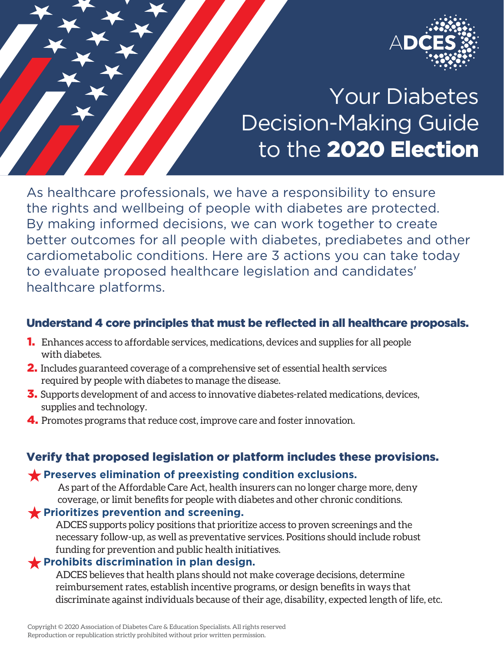

# Your Diabetes Decision-Making Guide to the 2020 Election

As healthcare professionals, we have a responsibility to ensure the rights and wellbeing of people with diabetes are protected. By making informed decisions, we can work together to create better outcomes for all people with diabetes, prediabetes and other cardiometabolic conditions. Here are 3 actions you can take today to evaluate proposed healthcare legislation and candidates' healthcare platforms.

### Understand 4 core principles that must be reflected in all healthcare proposals.

- 1. Enhances access to affordable services, medications, devices and supplies for all people with diabetes.
- 2. Includes guaranteed coverage of a comprehensive set of essential health services required by people with diabetes to manage the disease.
- **3.** Supports development of and access to innovative diabetes-related medications, devices, supplies and technology.
- 4. Promotes programs that reduce cost, improve care and foster innovation.

#### Verify that proposed legislation or platform includes these provisions.

#### **Preserves elimination of preexisting condition exclusions.**

 As part of the Affordable Care Act, health insurers can no longer charge more, deny coverage, or limit benefits for people with diabetes and other chronic conditions.

#### **Prioritizes prevention and screening.**

 ADCES supports policy positions that prioritize access to proven screenings and the necessary follow-up, as well as preventative services. Positions should include robust funding for prevention and public health initiatives.

#### **Prohibits discrimination in plan design.**

 ADCES believes that health plans should not make coverage decisions, determine reimbursement rates, establish incentive programs, or design benefits in ways that discriminate against individuals because of their age, disability, expected length of life, etc.